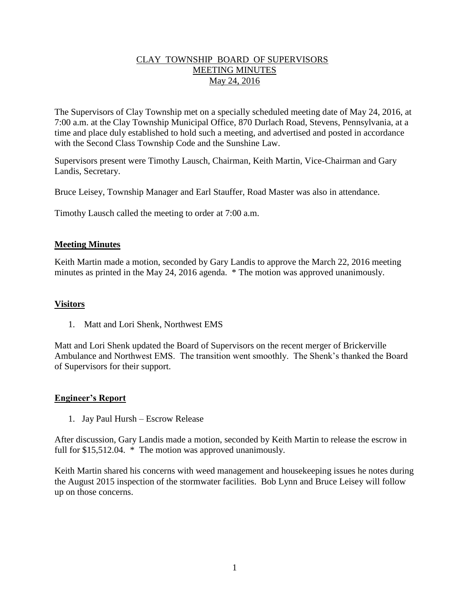## CLAY TOWNSHIP BOARD OF SUPERVISORS MEETING MINUTES May 24, 2016

The Supervisors of Clay Township met on a specially scheduled meeting date of May 24, 2016, at 7:00 a.m. at the Clay Township Municipal Office, 870 Durlach Road, Stevens, Pennsylvania, at a time and place duly established to hold such a meeting, and advertised and posted in accordance with the Second Class Township Code and the Sunshine Law.

Supervisors present were Timothy Lausch, Chairman, Keith Martin, Vice-Chairman and Gary Landis, Secretary.

Bruce Leisey, Township Manager and Earl Stauffer, Road Master was also in attendance.

Timothy Lausch called the meeting to order at 7:00 a.m.

## **Meeting Minutes**

Keith Martin made a motion, seconded by Gary Landis to approve the March 22, 2016 meeting minutes as printed in the May 24, 2016 agenda. \* The motion was approved unanimously.

#### **Visitors**

1. Matt and Lori Shenk, Northwest EMS

Matt and Lori Shenk updated the Board of Supervisors on the recent merger of Brickerville Ambulance and Northwest EMS. The transition went smoothly. The Shenk's thanked the Board of Supervisors for their support.

#### **Engineer's Report**

1. Jay Paul Hursh – Escrow Release

After discussion, Gary Landis made a motion, seconded by Keith Martin to release the escrow in full for \$15,512.04. \* The motion was approved unanimously.

Keith Martin shared his concerns with weed management and housekeeping issues he notes during the August 2015 inspection of the stormwater facilities. Bob Lynn and Bruce Leisey will follow up on those concerns.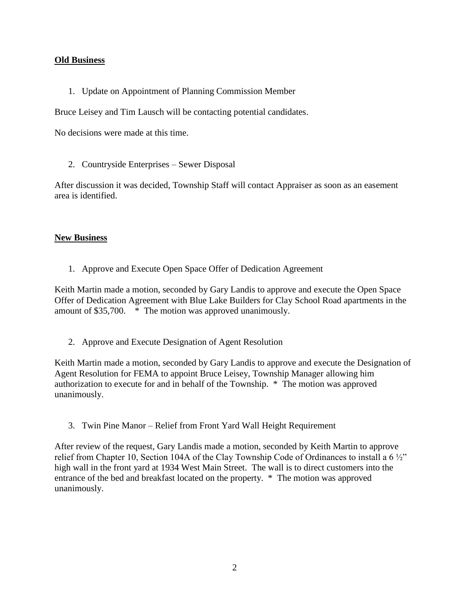## **Old Business**

1. Update on Appointment of Planning Commission Member

Bruce Leisey and Tim Lausch will be contacting potential candidates.

No decisions were made at this time.

2. Countryside Enterprises – Sewer Disposal

After discussion it was decided, Township Staff will contact Appraiser as soon as an easement area is identified.

## **New Business**

1. Approve and Execute Open Space Offer of Dedication Agreement

Keith Martin made a motion, seconded by Gary Landis to approve and execute the Open Space Offer of Dedication Agreement with Blue Lake Builders for Clay School Road apartments in the amount of \$35,700. \* The motion was approved unanimously.

2. Approve and Execute Designation of Agent Resolution

Keith Martin made a motion, seconded by Gary Landis to approve and execute the Designation of Agent Resolution for FEMA to appoint Bruce Leisey, Township Manager allowing him authorization to execute for and in behalf of the Township. \* The motion was approved unanimously.

3. Twin Pine Manor – Relief from Front Yard Wall Height Requirement

After review of the request, Gary Landis made a motion, seconded by Keith Martin to approve relief from Chapter 10, Section 104A of the Clay Township Code of Ordinances to install a 6 ½" high wall in the front yard at 1934 West Main Street. The wall is to direct customers into the entrance of the bed and breakfast located on the property. \* The motion was approved unanimously.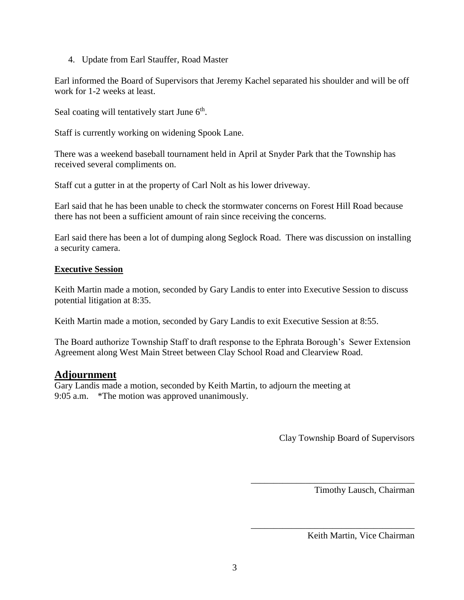4. Update from Earl Stauffer, Road Master

Earl informed the Board of Supervisors that Jeremy Kachel separated his shoulder and will be off work for 1-2 weeks at least.

Seal coating will tentatively start June 6<sup>th</sup>.

Staff is currently working on widening Spook Lane.

There was a weekend baseball tournament held in April at Snyder Park that the Township has received several compliments on.

Staff cut a gutter in at the property of Carl Nolt as his lower driveway.

Earl said that he has been unable to check the stormwater concerns on Forest Hill Road because there has not been a sufficient amount of rain since receiving the concerns.

Earl said there has been a lot of dumping along Seglock Road. There was discussion on installing a security camera.

## **Executive Session**

Keith Martin made a motion, seconded by Gary Landis to enter into Executive Session to discuss potential litigation at 8:35.

Keith Martin made a motion, seconded by Gary Landis to exit Executive Session at 8:55.

The Board authorize Township Staff to draft response to the Ephrata Borough's Sewer Extension Agreement along West Main Street between Clay School Road and Clearview Road.

# **Adjournment**

Gary Landis made a motion, seconded by Keith Martin, to adjourn the meeting at 9:05 a.m. \*The motion was approved unanimously.

Clay Township Board of Supervisors

\_\_\_\_\_\_\_\_\_\_\_\_\_\_\_\_\_\_\_\_\_\_\_\_\_\_\_\_\_\_\_\_\_\_\_\_

\_\_\_\_\_\_\_\_\_\_\_\_\_\_\_\_\_\_\_\_\_\_\_\_\_\_\_\_\_\_\_\_\_\_\_\_

Timothy Lausch, Chairman

Keith Martin, Vice Chairman